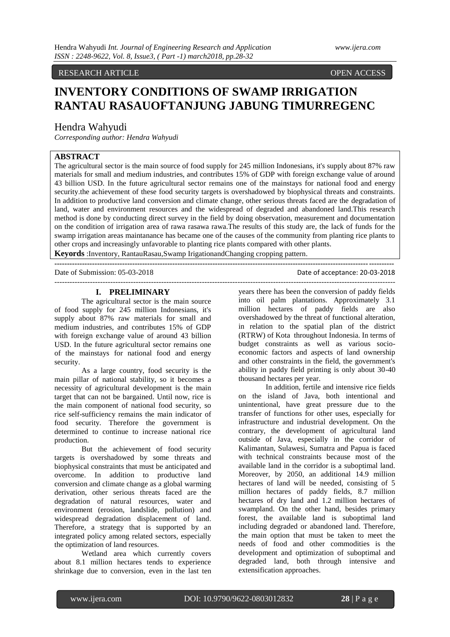# RESEARCH ARTICLE OPEN ACCESS

# **INVENTORY CONDITIONS OF SWAMP IRRIGATION RANTAU RASAUOFTANJUNG JABUNG TIMURREGENC**

# Hendra Wahyudi

*Corresponding author: Hendra Wahyudi*

# **ABSTRACT**

The agricultural sector is the main source of food supply for 245 million Indonesians, it's supply about 87% raw materials for small and medium industries, and contributes 15% of GDP with foreign exchange value of around 43 billion USD. In the future agricultural sector remains one of the mainstays for national food and energy security.the achievement of these food security targets is overshadowed by biophysical threats and constraints. In addition to productive land conversion and climate change, other serious threats faced are the degradation of land, water and environment resources and the widespread of degraded and abandoned land.This research method is done by conducting direct survey in the field by doing observation, measurement and documentation on the condition of irrigation area of rawa rasawa rawa.The results of this study are, the lack of funds for the swamp irrigation areas maintanance has became one of the causes of the community from planting rice plants to other crops and increasingly unfavorable to planting rice plants compared with other plants.

**---------------------------------------------------------------------------------------------------------------------------------------**

**Keyords** :Inventory, RantauRasau,Swamp IrigationandChanging cropping pattern.

Date of Submission: 05-03-2018 Date of acceptance: 20-03-2018

# --------------------------------------------------------------------------------------------------------------------------------------

# **I. PRELIMINARY**

The agricultural sector is the main source of food supply for 245 million Indonesians, it's supply about 87% raw materials for small and medium industries, and contributes 15% of GDP with foreign exchange value of around 43 billion USD. In the future agricultural sector remains one of the mainstays for national food and energy security.

As a large country, food security is the main pillar of national stability, so it becomes a necessity of agricultural development is the main target that can not be bargained. Until now, rice is the main component of national food security, so rice self-sufficiency remains the main indicator of food security. Therefore the government is determined to continue to increase national rice production.

But the achievement of food security targets is overshadowed by some threats and biophysical constraints that must be anticipated and overcome. In addition to productive land conversion and climate change as a global warming derivation, other serious threats faced are the degradation of natural resources, water and environment (erosion, landslide, pollution) and widespread degradation displacement of land. Therefore, a strategy that is supported by an integrated policy among related sectors, especially the optimization of land resources.

Wetland area which currently covers about 8.1 million hectares tends to experience shrinkage due to conversion, even in the last ten years there has been the conversion of paddy fields into oil palm plantations. Approximately 3.1 million hectares of paddy fields are also overshadowed by the threat of functional alteration, in relation to the spatial plan of the district (RTRW) of Kota throughout Indonesia. In terms of budget constraints as well as various socioeconomic factors and aspects of land ownership and other constraints in the field, the government's ability in paddy field printing is only about 30-40 thousand hectares per year.

In addition, fertile and intensive rice fields on the island of Java, both intentional and unintentional, have great pressure due to the transfer of functions for other uses, especially for infrastructure and industrial development. On the contrary, the development of agricultural land outside of Java, especially in the corridor of Kalimantan, Sulawesi, Sumatra and Papua is faced with technical constraints because most of the available land in the corridor is a suboptimal land. Moreover, by 2050, an additional 14.9 million hectares of land will be needed, consisting of 5 million hectares of paddy fields, 8.7 million hectares of dry land and 1.2 million hectares of swampland. On the other hand, besides primary forest, the available land is suboptimal land including degraded or abandoned land. Therefore, the main option that must be taken to meet the needs of food and other commodities is the development and optimization of suboptimal and degraded land, both through intensive and extensification approaches.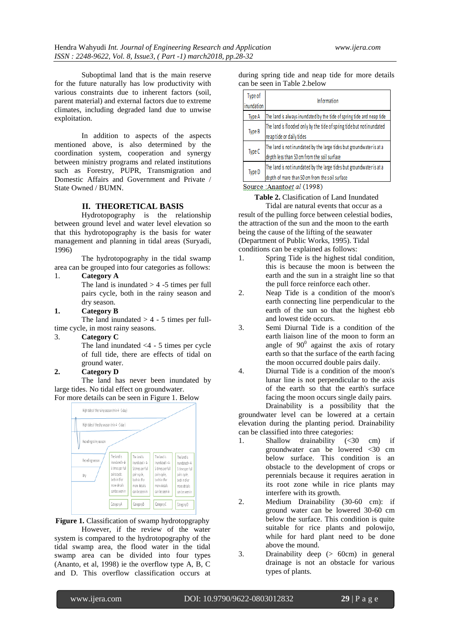Suboptimal land that is the main reserve for the future naturally has low productivity with various constraints due to inherent factors (soil, parent material) and external factors due to extreme climates, including degraded land due to unwise exploitation.

In addition to aspects of the aspects mentioned above, is also determined by the coordination system, cooperation and synergy between ministry programs and related institutions such as Forestry, PUPR, Transmigration and Domestic Affairs and Government and Private / State Owned / BUMN.

# **II. THEORETICAL BASIS**

Hydrotopography is the relationship between ground level and water level elevation so that this hydrotopography is the basis for water management and planning in tidal areas (Suryadi, 1996)

The hydrotopography in the tidal swamp area can be grouped into four categories as follows:

# 1. **Category A**

The land is inundated  $> 4$  -5 times per full pairs cycle, both in the rainy season and dry season.

# **1. Category B**

The land inundated  $> 4 - 5$  times per fulltime cycle, in most rainy seasons.

#### 3. **Category C**

The land inundated <4 - 5 times per cycle of full tide, there are effects of tidal on ground water.

# **2. Category D**

The land has never been inundated by large tides. No tidal effect on groundwater.

For more details can be seen in Figure 1. Below



**Figure 1.** Classification of swamp hydrotopgraphy

However, if the review of the water system is compared to the hydrotopography of the tidal swamp area, the flood water in the tidal swamp area can be divided into four types (Ananto, et al, 1998) ie the overflow type A, B, C and D. This overflow classification occurs at during spring tide and neap tide for more details can be seen in Table 2.below

| Type of<br>inundation | <b>Information</b>                                                                                                     |  |  |
|-----------------------|------------------------------------------------------------------------------------------------------------------------|--|--|
| <b>Type A</b>         | The land is always inundated by the tide of spring tide and neap tide                                                  |  |  |
| <b>Type B</b>         | The land is flooded only by the tide of spring tide but not inundated<br>neaptide or daily tides                       |  |  |
| Type C                | The land is not inundated by the large tides but groundwater is at a<br>depth less than 50 cm from the soil surface    |  |  |
| Type D                | The land is not inundated by the large tides but groundwater is at a<br>depth of mare than 50 cm from the soil surface |  |  |

Source : Anantoet al (1998)

**Table 2.** Clasification of Land Inundated Tidal are natural events that occur as a result of the pulling force between celestial bodies, the attraction of the sun and the moon to the earth being the cause of the lifting of the seawater (Department of Public Works, 1995). Tidal conditions can be explained as follows:

- 1. Spring Tide is the highest tidal condition, this is because the moon is between the earth and the sun in a straight line so that the pull force reinforce each other.
- 2. Neap Tide is a condition of the moon's earth connecting line perpendicular to the earth of the sun so that the highest ebb and lowest tide occurs.
- 3. Semi Diurnal Tide is a condition of the earth liaison line of the moon to form an angle of  $90^0$  against the axis of rotary earth so that the surface of the earth facing the moon occurred double pairs daily.
- 4. Diurnal Tide is a condition of the moon's lunar line is not perpendicular to the axis of the earth so that the earth's surface facing the moon occurs single daily pairs.

Drainability is a possibility that the groundwater level can be lowered at a certain elevation during the planting period. Drainability can be classified into three categories:

- 1. Shallow drainability (<30 cm) if groundwater can be lowered <30 cm below surface. This condition is an obstacle to the development of crops or perennials because it requires aeration in its root zone while in rice plants may interfere with its growth.
- 2. Medium Drainability (30-60 cm): if ground water can be lowered 30-60 cm below the surface. This condition is quite suitable for rice plants and polowijo, while for hard plant need to be done above the mound.
- 3. Drainability deep (> 60cm) in general drainage is not an obstacle for various types of plants.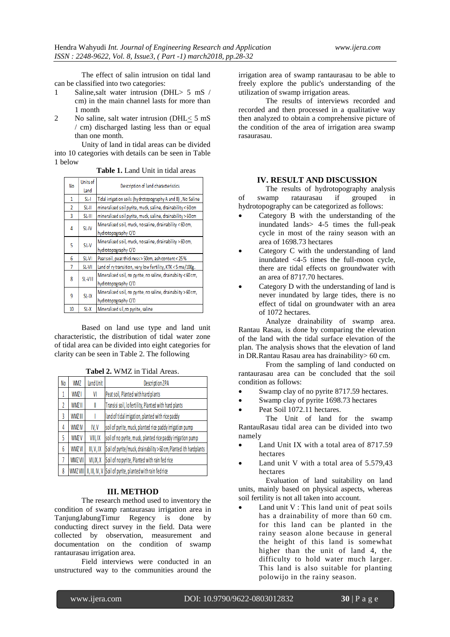The effect of salin intrusion on tidal land can be classified into two categories:

- 1 Saline,salt water intrusion (DHL> 5 mS / cm) in the main channel lasts for more than 1 month
- 2 No saline, salt water intrusion (DHL< 5 mS / cm) discharged lasting less than or equal than one month.

Unity of land in tidal areas can be divided into 10 categories with details can be seen in Table 1 below

**Table 1.** Land Unit in tidal areas

| No             | <b>Units of</b><br>Land | Description of land characteristics                          |  |  |
|----------------|-------------------------|--------------------------------------------------------------|--|--|
| 1              | $SL-I$                  | Tidal irrigation soils (hydrotopography A and B), No Saline  |  |  |
| $\overline{2}$ | $SL-H$                  | mineralized soil pyrite, muck, saline, drainability <60 cm   |  |  |
| 3              | $SL-III$                | mineralized soil pyrite, muck, saline, drainability > 60 cm  |  |  |
| 4              | SL-IV                   | Mineralized soil, muck, no saline, drainability <60 cm,      |  |  |
|                |                         | hydrotopography C/D                                          |  |  |
| 5              | SL-V                    | Mineralized soil, muck, no saline, drainability >60 cm,      |  |  |
|                |                         | hydrotopography C/D                                          |  |  |
| 6              | SL-VI                   | Peatsoil, peat thickness > 50cm, ash content< 25%            |  |  |
| 7              | SL-VII                  | Land of ry transition, very low fertility, KTK < 5 me/100g.  |  |  |
| 8              | SL-VIII                 | Mineralized soil, no pyrite, no saline, drainabiity <60 cm,  |  |  |
|                |                         | hydrotopography C/D                                          |  |  |
| 9              | SL-IX                   | Mineralized soil, no pyrite, no saline, drainabiity > 60 cm, |  |  |
|                |                         | hydrotopography C/D                                          |  |  |
| 10             | SL-X                    | Mineralized sil, no pyrite, saline                           |  |  |

Based on land use type and land unit characteristic, the distribution of tidal water zone of tidal area can be divided into eight categories for clarity can be seen in Table 2. The following

**Tabel 2.** WMZ in Tidal Areas.

| No | <b>WMZ</b>       | land Unit | <b>Description ZPA</b>                                            |
|----|------------------|-----------|-------------------------------------------------------------------|
| 1  | WMZ I            | VI        | Peat soil, Planted with hard plants                               |
| Ž  | WMZ II           | I         | Transisi soil, lo fertility, Planted with hard plants             |
| 3  | WMZ III          |           | land of tidal irrigation, planted with rice paddy                 |
| 4  | WMZ <sub>N</sub> | IV, V     | soil of pyrite, muck, planted rice paddy irrigation pump          |
| 5  | WMZ V            | VIII, IX  | soil of no pyrite, muck, planted rice paddy irrigation pump       |
| 6  | WMZ VI           | II, V, IX | Soil of pyrite/muck, drainability > 60 cm, Planted ith hardplants |
| 7  | <b>WMZ VII</b>   | VII, X, X | Soil of no pyrite, Planted with rain fed rice                     |
| 8  | WMZ VIII         |           | II, III, IV, V Soil of pyrite, planted with rain fedrice          |

# **III. METHOD**

The research method used to inventory the condition of swamp rantaurasau irrigation area in TanjungJabungTimur Regency is done by conducting direct survey in the field. Data were collected by observation, measurement and documentation on the condition of swamp rantaurasau irrigation area.

Field interviews were conducted in an unstructured way to the communities around the

irrigation area of swamp rantaurasau to be able to freely explore the public's understanding of the utilization of swamp irrigation areas.

The results of interviews recorded and recorded and then processed in a qualitative way then analyzed to obtain a comprehensive picture of the condition of the area of irrigation area swamp rasaurasau.

## **IV. RESULT AND DISCUSSION**

The results of hydrotopography analysis of swamp rataurasau if grouped in hydrotopography can be categorized as follows:

- Category B with the understanding of the inundated lands> 4-5 times the full-peak cycle in most of the rainy season with an area of 1698.73 hectares
- Category C with the understanding of land inundated <4-5 times the full-moon cycle, there are tidal effects on groundwater with an area of 8717.70 hectares.
- Category D with the understanding of land is never inundated by large tides, there is no effect of tidal on groundwater with an area of 1072 hectares.

Analyze drainability of swamp area. Rantau Rasau, is done by comparing the elevation of the land with the tidal surface elevation of the plan. The analysis shows that the elevation of land in DR.Rantau Rasau area has drainability> 60 cm.

From the sampling of land conducted on rantaurasau area can be concluded that the soil condition as follows:

- Swamp clay of no pyrite 8717.59 hectares.
- Swamp clay of pyrite 1698.73 hectares
- Peat Soil 1072.11 hectares.

The Unit of land for the swamp RantauRasau tidal area can be divided into two namely

- Land Unit IX with a total area of 8717.59 hectares
- Land unit V with a total area of 5.579,43 hectares

Evaluation of land suitability on land units, mainly based on physical aspects, whereas soil fertility is not all taken into account.

 Land unit V : This land unit of peat soils has a drainability of more than 60 cm. for this land can be planted in the rainy season alone because in general the height of this land is somewhat higher than the unit of land 4, the difficulty to hold water much larger. This land is also suitable for planting polowijo in the rainy season.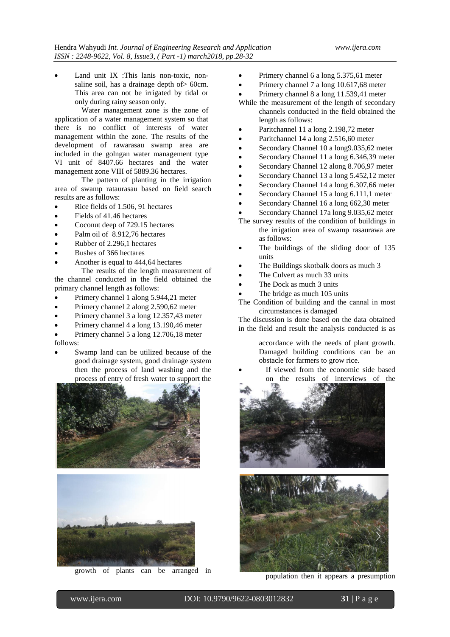Land unit IX :This lanis non-toxic, nonsaline soil, has a drainage depth of > 60cm. This area can not be irrigated by tidal or only during rainy season only.

Water management zone is the zone of application of a water management system so that there is no conflict of interests of water management within the zone. The results of the development of rawarasau swamp area are included in the golngan water management type VI unit of 8407.66 hectares and the water management zone VIII of 5889.36 hectares.

The pattern of planting in the irrigation area of swamp rataurasau based on field search results are as follows:

- Rice fields of 1.506, 91 hectares
- Fields of 41.46 hectares
- Coconut deep of 729.15 hectares
- Palm oil of 8.912,76 hectares
- Rubber of 2.296,1 hectares
- Bushes of 366 hectares
- Another is equal to 444,64 hectares

The results of the length measurement of the channel conducted in the field obtained the primary channel length as follows:

- Primery channel 1 along 5.944,21 meter
- Primery channel 2 along 2.590,62 meter
- Primery channel 3 a long 12.357,43 meter
- Primery channel 4 a long 13.190,46 meter
- Primery channel 5 a long 12.706,18 meter follows:
- Swamp land can be utilized because of the good drainage system, good drainage system then the process of land washing and the process of entry of fresh water to support the





growth of plants can be arranged in

- Primery channel 6 a long 5.375,61 meter
- Primery channel 7 a long 10.617,68 meter
- Primery channel 8 a long 11.539,41 meter
- While the measurement of the length of secondary channels conducted in the field obtained the length as follows:
- Paritchannel 11 a long 2.198,72 meter
- Paritchannel 14 a long 2.516,60 meter
- Secondary Channel 10 a long9.035,62 meter
- Secondary Channel 11 a long 6.346,39 meter
- Secondary Channel 12 along 8.706,97 meter
- Secondary Channel 13 a long 5.452,12 meter
- Secondary Channel 14 a long 6.307,66 meter
- Secondary Channel 15 a long 6.111,1 meter
- Secondary Channel 16 a long 662,30 meter
- Secondary Channel 17a long 9.035,62 meter
- The survey results of the condition of buildings in the irrigation area of swamp rasaurawa are as follows:
- The buildings of the sliding door of 135 units
- The Buildings skotbalk doors as much 3
- The Culvert as much 33 units
- The Dock as much 3 units
- The bridge as much 105 units
- The Condition of building and the cannal in most circumstances is damaged

The discussion is done based on the data obtained in the field and result the analysis conducted is as

> accordance with the needs of plant growth. Damaged building conditions can be an obstacle for farmers to grow rice.

 If viewed from the economic side based on the results of interviews of the





population then it appears a presumption